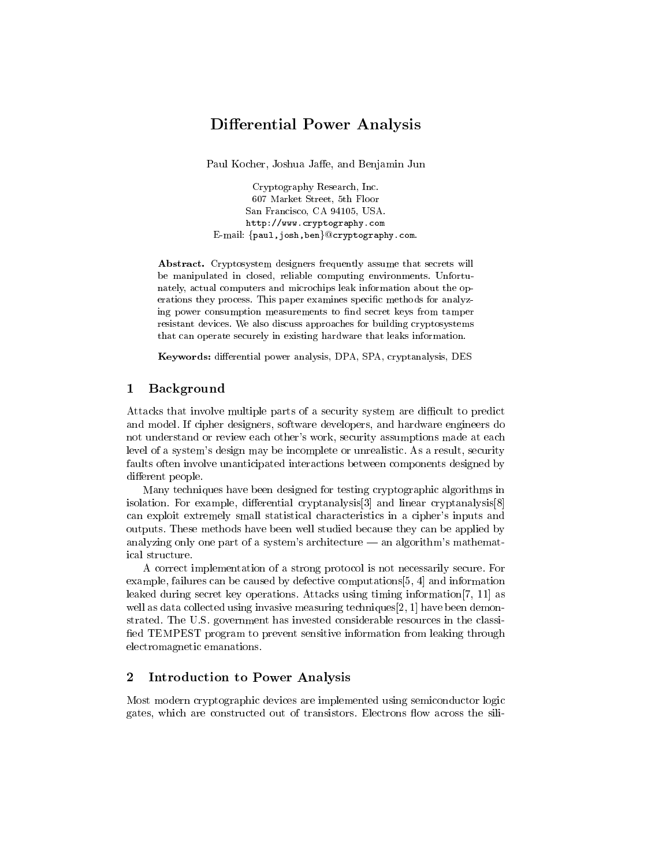# Differential Power Analysis

Paul Kocher, Joshua Jaffe, and Benjamin Jun

Cryptography Research, Inc. 607 Market Street, 5th Floor San Francisco, CA 94105, USA. http://www.cryptography.comE-mail: {paul,josh,ben}@cryptography.com.

Abstract. Cryptosystem designers frequently assume that secrets will be manipulated in closed, reliable computing environments. Unfortunately, actual computers and microchips leak information about the operations they process. This paper examines specic methods for analyzing power consumption measurements to find secret keys from tamper resistant devices. We also discuss approaches for building cryptosystems that can operate securely in existing hardware that leaks information.

Keywords: differential power analysis, DPA, SPA, cryptanalysis, DES

#### 1 Background

Attacks that involve multiple parts of a security system are difficult to predict and model. If cipher designers, software developers, and hardware engineers do not understand or review each other's work, security assumptions made at each level of a system's design may be incomplete or unrealistic. As a result, security faults often involve unanticipated interactions between components designed by different people.

Many techniques have been designed for testing cryptographic algorithms in isolation. For example, differential cryptanalysis[3] and linear cryptanalysis[8] can exploit extremely small statistical characteristics in a cipher's inputs and outputs. These methods have been well studied because they can be applied by analyzing only one part of a system's architecture  $\sim$  an algorithm's mathematical structure.

A correct implementation of a strong protocol is not necessarily secure. For example, failures can be caused by defective computations[5, 4] and information leaked during secret key operations. Attacks using timing information[7, 11] as well as data collected using invasive measuring techniques [2, 1] have been demonstrated. The U.S. government has invested considerable resources in the classi fied TEMPEST program to prevent sensitive information from leaking through electromagnetic emanations.

#### Introduction to Power Analysis  $\bf{2}$

Most modern cryptographic devices are implemented using semiconductor logic gates, which are constructed out of transistors. Electrons flow across the sili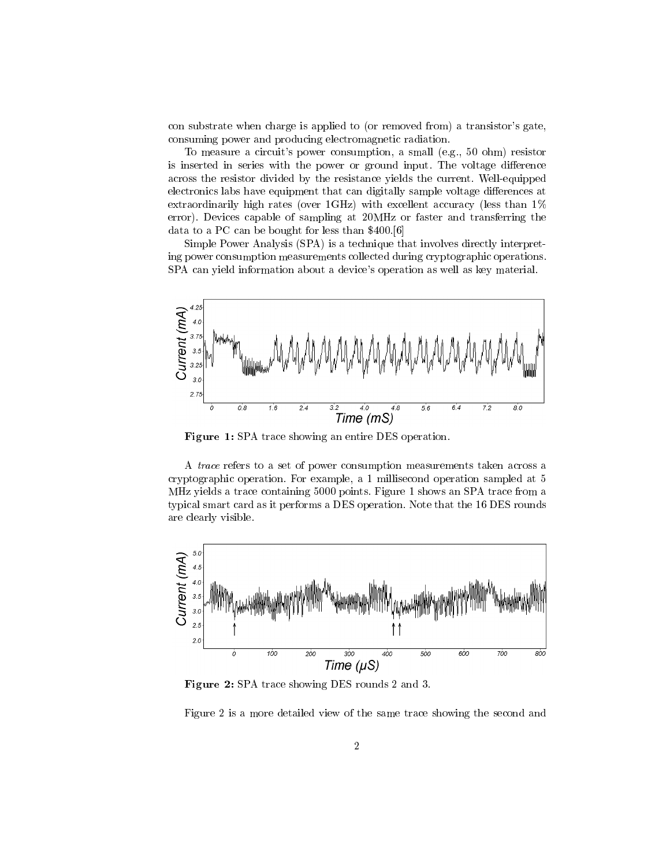con substrate when charge is applied to (or removed from) a transistor's gate, consuming power and producing electromagnetic radiation.

To measure a circuit's power consumption, a small (e.g., 50 ohm) resistor is inserted in series with the power or ground input. The voltage difference across the resistor divided by the resistance yields the current. Well-equipped electronics labs have equipment that can digitally sample voltage differences at extraordinarily high rates (over 1GHz) with excellent accuracy (less than 1% error). Devices capable of sampling at 20MHz or faster and transferring the data to a PC can be bought for less than \$400.[6]

Simple Power Analysis (SPA) is a technique that involves directly interpreting power consumption measurements collected during cryptographic operations. SPA can yield information about a device's operation as well as key material.



Figure 1: SPA trace showing an entire DES operation.

A trace refers to a set of power consumption measurements taken across a cryptographic operation. For example, a 1 millisecond operation sampled at 5 MHz yields a trace containing 5000 points. Figure 1 shows an SPA trace from a typical smart card as it performs a DES operation. Note that the 16 DES rounds are clearly visible.



**Figure 2:**  $\mathcal{G}$  is a trace showing DES rounds 2 and 3.

Figure 2 is a more detailed view of the same trace showing the second and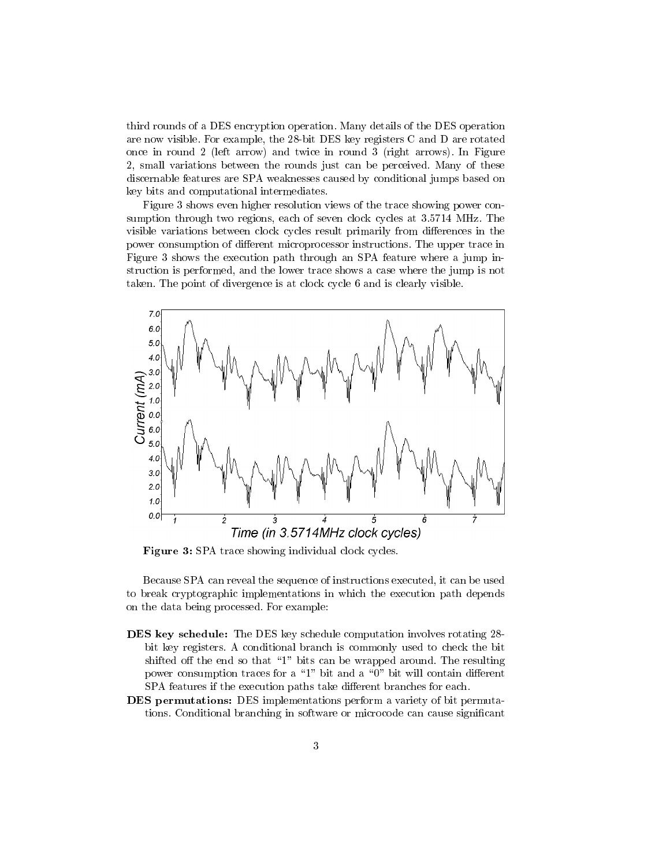third rounds of a DES encryption operation. Many details of the DES operation are now visible. For example, the 28-bit DES key registers C and D are rotated once in round 2 (left arrow) and twice in round 3 (right arrows). In Figure 2, small variations between the rounds just can be perceived. Many of these discernable features are SPA weaknesses caused by conditional jumps based on key bits and computational intermediates.

Figure 3 shows even higher resolution views of the trace showing power consumption through two regions, each of seven clock cycles at 3.5714 MHz. The visible variations between clock cycles result primarily from differences in the power consumption of different microprocessor instructions. The upper trace in Figure 3 shows the execution path through an SPA feature where a jump instruction is performed, and the lower trace shows a case where the jump is not taken. The point of divergence is at clock cycle 6 and is clearly visible.



Figure 3: SPA trace showing individual clock cycles.

Because SPA can reveal the sequence of instructions executed, it can be used to break cryptographic implementations in which the execution path depends on the data being processed. For example:

- DES key schedule: The DES key schedule computation involves rotating 28 bit key registers. A conditional branch is commonly used to check the bit shifted off the end so that "1" bits can be wrapped around. The resulting power consumption traces for a "1" bit and a "0" bit will contain different SPA features if the execution paths take different branches for each.
- DES permutations: DES implementations perform a variety of bit permutations. Conditional branching in software or microcode can cause signicant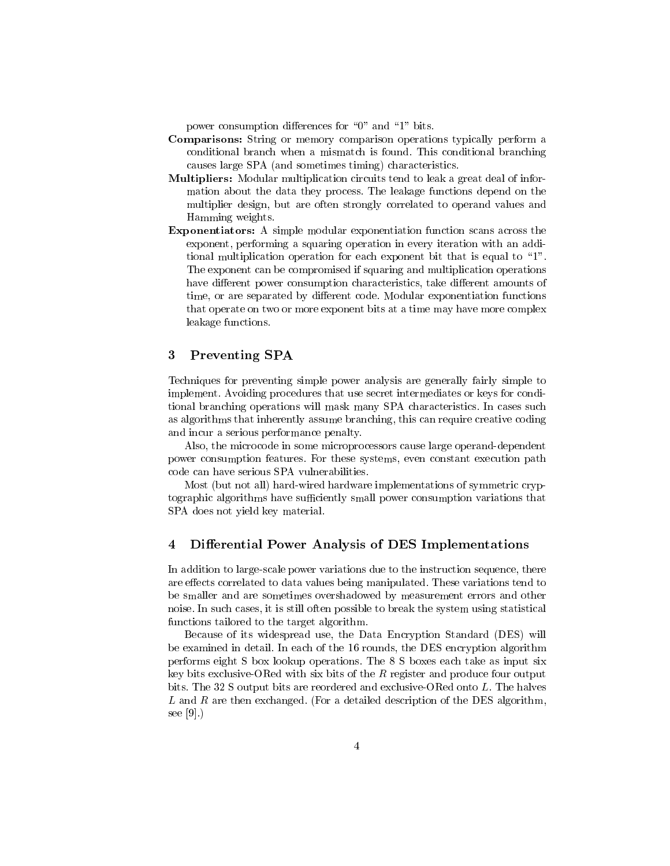power consumption differences for  $\degree 0"$  and  $\degree 1"$  bits.

- Comparisons: String or memory comparison operations typically perform a conditional branch when a mismatch is found. This conditional branching causes large SPA (and sometimes timing) characteristics.
- Multipliers: Modular multiplication circuits tend to leak a great deal of information about the data they process. The leakage functions depend on the multiplier design, but are often strongly correlated to operand values and Hamming weights.
- Exponentiators: A simple modular exponentiation function scans across the exponent, performing a squaring operation in every iteration with an additional multiplication operation for each exponent bit that is equal to \1". The exponent can be compromised if squaring and multiplication operations have different power consumption characteristics, take different amounts of time, or are separated by different code. Modular exponentiation functions that operate on two or more exponent bits at a time may have more complex leakage functions.

# 3 Preventing SPA

Techniques for preventing simple power analysis are generally fairly simple to implement. Avoiding procedures that use secret intermediates or keys for conditional branching operations will mask many SPA characteristics. In cases such as algorithms that inherently assume branching, this can require creative coding and incur a serious performance penalty.

Also, the microcode in some microprocessors cause large operand-dependent power consumption features. For these systems, even constant execution path code can have serious SPA vulnerabilities.

Most (but not all) hard-wired hardware implementations of symmetric cryptographic algorithms have sufficiently small power consumption variations that SPA does not yield key material.

### 4 Differential Power Analysis of DES Implementations

In addition to large-scale power variations due to the instruction sequence, there are effects correlated to data values being manipulated. These variations tend to be smaller and are sometimes overshadowed by measurement errors and other noise. In such cases, it is still often possible to break the system using statistical functions tailored to the target algorithm.

Because of its widespread use, the Data Encryption Standard (DES) will be examined in detail. In each of the 16 rounds, the DES encryption algorithm performs eight S box lookup operations. The 8 S boxes each take as input six key bits exclusive-ORed with six bits of the  $R$  register and produce four output bits. The 32 S output bits are reordered and exclusive-ORed onto L. The halves L and R are then exchanged. (For a detailed description of the DES algorithm, see [9].)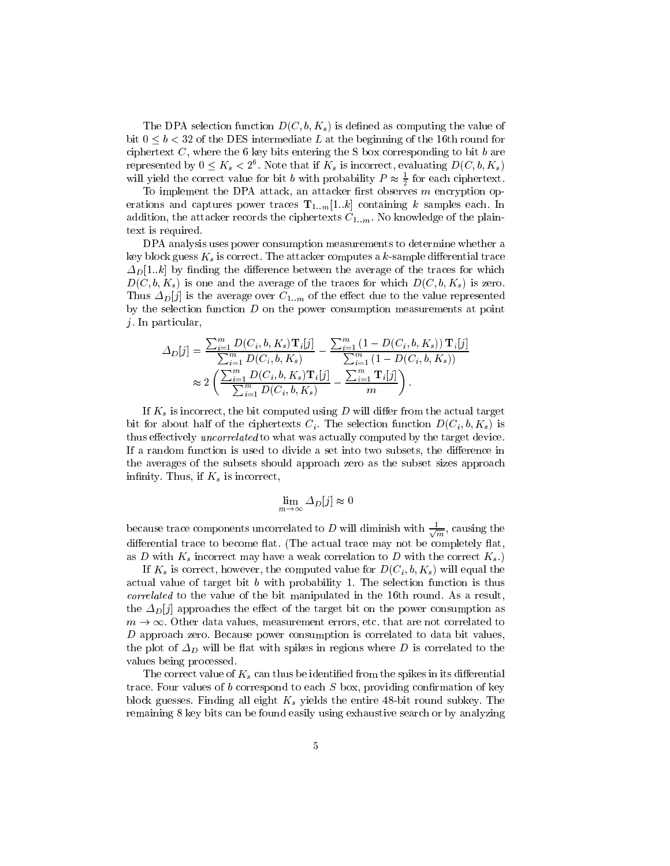The DPA selection function  $D(C, b, K_s)$  is defined as computing the value of bit  $0 \leq b < 32$  of the DES intermediate L at the beginning of the 16th round for ciphertext C, where the 6 key bits entering the S box corresponding to bit b are represented by  $0 \leq R_s \leq 2^\circ$ . Note that if  $K_s$  is incorrect, evaluating  $D(C, \theta, K_s)$ will yield the correct value for bit b with probability  $P \approx \frac{1}{2}$  for each ciphertext.

To implement the DPA attack, an attacker rst observes <sup>m</sup> encryption operations and captures power traces  $\mathbf{T}_{1..m}[1..k]$  containing k samples each. In addition, the attacker records the ciphertexts  $C_{1..m}$ . No knowledge of the plaintext is required.

DPA analysis uses power consumption measurements to determine whether a key block guess  $K_s$  is correct. The attacker computes a k-sample differential trace  $\Delta_D[1..k]$  by finding the difference between the average of the traces for which  $D(C, b, K_s)$  is one and the average of the traces for which  $D(C, b, K_s)$  is zero. Thus  $\Delta_D[j]$  is the average over  $C_{1..m}$  of the effect due to the value represented by the selection function  $D$  on the power consumption measurements at point j. In particular,

$$
\Delta_D[j] = \frac{\sum_{i=1}^m D(C_i, b, K_s) \mathbf{T}_i[j]}{\sum_{i=1}^m D(C_i, b, K_s)} - \frac{\sum_{i=1}^m (1 - D(C_i, b, K_s)) \mathbf{T}_i[j]}{\sum_{i=1}^m (1 - D(C_i, b, K_s))}
$$

$$
\approx 2 \left( \frac{\sum_{i=1}^m D(C_i, b, K_s) \mathbf{T}_i[j]}{\sum_{i=1}^m D(C_i, b, K_s)} - \frac{\sum_{i=1}^m \mathbf{T}_i[j]}{m} \right).
$$

If  $K_s$  is incorrect, the bit computed using D will differ from the actual target bit for about half of the ciphertexts  $C_i$ . The selection function  $D(C_i, b, K_s)$  is thus effectively *uncorrelated* to what was actually computed by the target device. If a random function is used to divide a set into two subsets, the difference in the averages of the subsets should approach zero as the subset sizes approach infinity. Thus, if  $K_s$  is incorrect,

$$
\lim_{m \to \infty} \Delta_D[j] \approx 0
$$

because trace components uncorrelated to D will diminish with  $\frac{1}{\sqrt{m}}$ , causing the differential trace to become flat. (The actual trace may not be completely flat, as D with  $K_s$  incorrect may have a weak correlation to D with the correct  $K_s$ .)

If  $K_s$  is correct, however, the computed value for  $D(C_i, b, K_s)$  will equal the actual value of target bit  $b$  with probability 1. The selection function is thus correlated to the value of the bit manipulated in the 16th round. As a result, the  $\Delta_D[j]$  approaches the effect of the target bit on the power consumption as  $m \to \infty$ . Other data values, measurement errors, etc. that are not correlated to <sup>D</sup> approach zero. Because power consumption is correlated to data bit values, the plot of  $\Delta_D$  will be flat with spikes in regions where D is correlated to the values being processed.

The correct value of  $K_s$  can thus be identified from the spikes in its differential trace. Four values of  $b$  correspond to each  $S$  box, providing confirmation of key block guesses. Finding all eight  $K_s$  yields the entire 48-bit round subkey. The remaining 8 key bits can be found easily using exhaustive search or by analyzing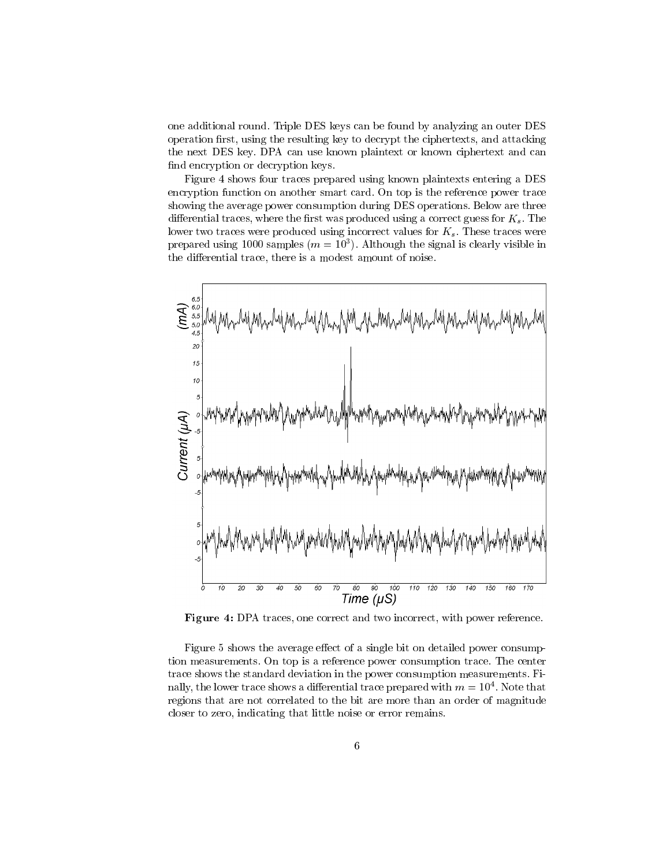one additional round. Triple DES keys can be found by analyzing an outer DES operation first, using the resulting key to decrypt the ciphertexts, and attacking the next DES key. DPA can use known plaintext or known ciphertext and can find encryption or decryption keys.

Figure 4 shows four traces prepared using known plaintexts entering a DES encryption function on another smart card. On top is the reference power trace showing the average power consumption during DES operations. Below are three differential traces, where the first was produced using a correct guess for  $K_s$ . The lower two traces were produced using incorrect values for  $K_s$ . These traces were prepared using 1000 samples ( $m = 10^\circ$ ). Although the signal is clearly visible in the differential trace, there is a modest amount of noise.



Figure 4: DPA traces, one correct and two incorrect, with power reference.

Figure 5 shows the average effect of a single bit on detailed power consumption measurements. On top is a reference power consumption trace. The center trace shows the standard deviation in the power consumption measurements. Finally, the lower trace shows a differential trace prepared with  $m=10^\circ$ . Note that regions that are not correlated to the bit are more than an order of magnitude closer to zero, indicating that little noise or error remains.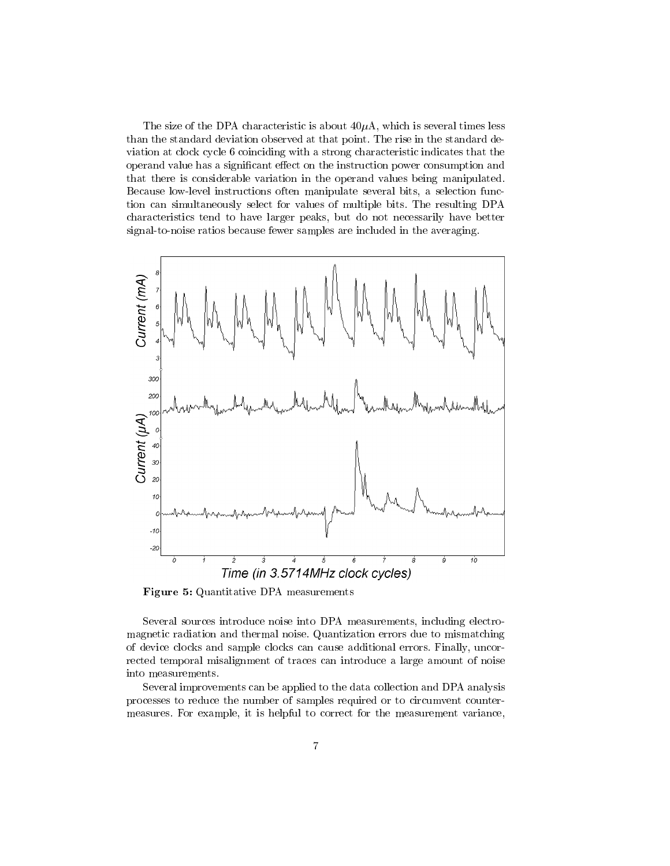The size of the DPA characteristic is about  $40\mu$ A, which is several times less than the standard deviation observed at that point. The rise in the standard deviation at clock cycle 6 coinciding with a strong characteristic indicates that the operand value has a significant effect on the instruction power consumption and that there is considerable variation in the operand values being manipulated. Because low-level instructions often manipulate several bits, a selection function can simultaneously select for values of multiple bits. The resulting DPA characteristics tend to have larger peaks, but do not necessarily have better signal-to-noise ratios because fewer samples are included in the averaging.



Figure 5: Quantitative DPA measurements

Several sources introduce noise into DPA measurements, including electromagnetic radiation and thermal noise. Quantization errors due to mismatching of device clocks and sample clocks can cause additional errors. Finally, uncorrected temporal misalignment of traces can introduce a large amount of noise into measurements.

Several improvements can be applied to the data collection and DPA analysis processes to reduce the number of samples required or to circumvent countermeasures. For example, it is helpful to correct for the measurement variance,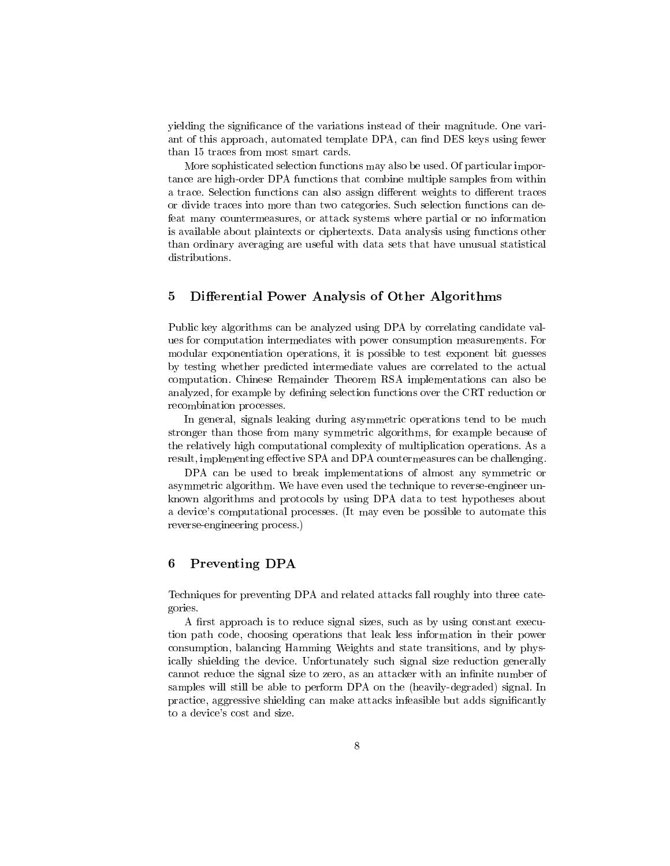yielding the signicance of the variations instead of their magnitude. One variant of this approach, automated template DPA, can find DES keys using fewer than 15 traces from most smart cards.

More sophisticated selection functions may also be used. Of particular importance are high-order DPA functions that combine multiple samples from within a trace. Selection functions can also assign different weights to different traces or divide traces into more than two categories. Such selection functions can defeat many countermeasures, or attack systems where partial or no information is available about plaintexts or ciphertexts. Data analysis using functions other than ordinary averaging are useful with data sets that have unusual statistical distributions.

# 5 Differential Power Analysis of Other Algorithms

Public key algorithms can be analyzed using DPA by correlating candidate values for computation intermediates with power consumption measurements. For modular exponentiation operations, it is possible to test exponent bit guesses by testing whether predicted intermediate values are correlated to the actual computation. Chinese Remainder Theorem RSA implementations can also be analyzed, for example by defining selection functions over the CRT reduction or recombination processes.

In general, signals leaking during asymmetric operations tend to be much stronger than those from many symmetric algorithms, for example because of the relatively high computational complexity of multiplication operations. As a result, implementing effective SPA and DPA countermeasures can be challenging.

DPA can be used to break implementations of almost any symmetric or asymmetric algorithm. We have even used the technique to reverse-engineer unknown algorithms and protocols by using DPA data to test hypotheses about a device's computational processes. (It may even be possible to automate this reverse-engineering process.)

## 6 Preventing DPA

Techniques for preventing DPA and related attacks fall roughly into three categories.

A first approach is to reduce signal sizes, such as by using constant execution path code, choosing operations that leak less information in their power consumption, balancing Hamming Weights and state transitions, and by physically shielding the device. Unfortunately such signal size reduction generally cannot reduce the signal size to zero, as an attacker with an infinite number of samples will still be able to perform DPA on the (heavily-degraded) signal. In practice, aggressive shielding can make attacks infeasible but adds signicantly to a device's cost and size.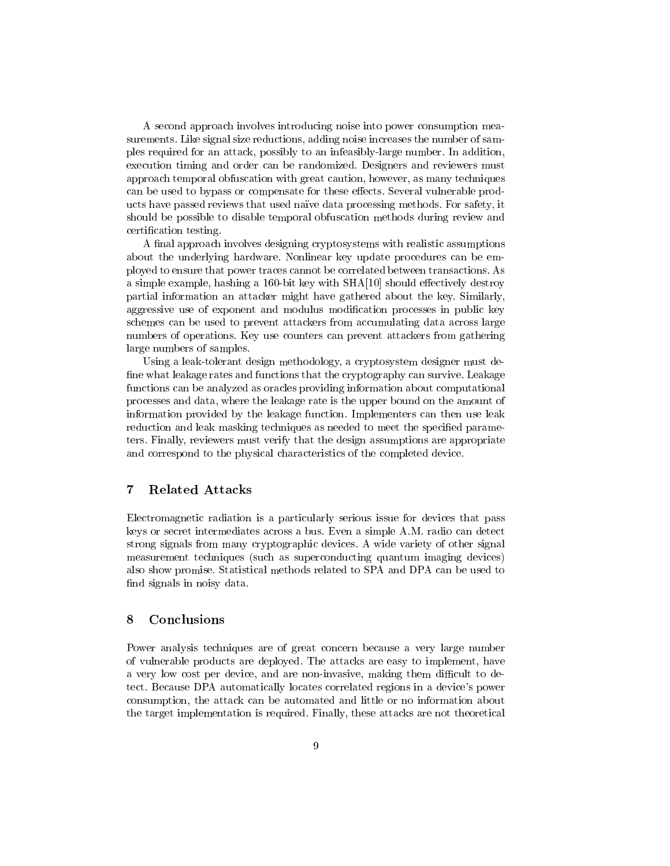A second approach involves introducing noise into power consumption measurements. Like signal size reductions, adding noise increases the number of samples required for an attack, possibly to an infeasibly-large number. In addition, execution timing and order can be randomized. Designers and reviewers must approach temporal obfuscation with great caution, however, as many techniques can be used to bypass or compensate for these effects. Several vulnerable products have passed reviews that used nave data processing methods. For safety, it should be possible to disable temporal obfuscation methods during review and certication testing.

A final approach involves designing cryptosystems with realistic assumptions about the underlying hardware. Nonlinear key update procedures can be employed to ensure that power traces cannot be correlated between transactions. As a simple example, hashing a 160-bit key with  $SHA[10]$  should effectively destroy partial information an attacker might have gathered about the key. Similarly, aggressive use of exponent and modulus modification processes in public key schemes can be used to prevent attackers from accumulating data across large numbers of operations. Key use counters can prevent attackers from gathering large numbers of samples.

Using a leak-tolerant design methodology, a cryptosystem designer must de fine what leakage rates and functions that the cryptography can survive. Leakage functions can be analyzed as oracles providing information about computational processes and data, where the leakage rate is the upper bound on the amount of information provided by the leakage function. Implementers can then use leak reduction and leak masking techniques as needed to meet the specified parameters. Finally, reviewers must verify that the design assumptions are appropriate and correspond to the physical characteristics of the completed device.

#### $\overline{7}$ **Related Attacks**

Electromagnetic radiation is a particularly serious issue for devices that pass keys or secret intermediates across a bus. Even a simple A.M. radio can detect strong signals from many cryptographic devices. A wide variety of other signal measurement techniques (such as superconducting quantum imaging devices) also show promise. Statistical methods related to SPA and DPA can be used to find signals in noisy data.

## 8 Conclusions

Power analysis techniques are of great concern because a very large number of vulnerable products are deployed. The attacks are easy to implement, have a very low cost per device, and are non-invasive, making them difficult to detect. Because DPA automatically locates correlated regions in a device's power consumption, the attack can be automated and little or no information about the target implementation is required. Finally, these attacks are not theoretical